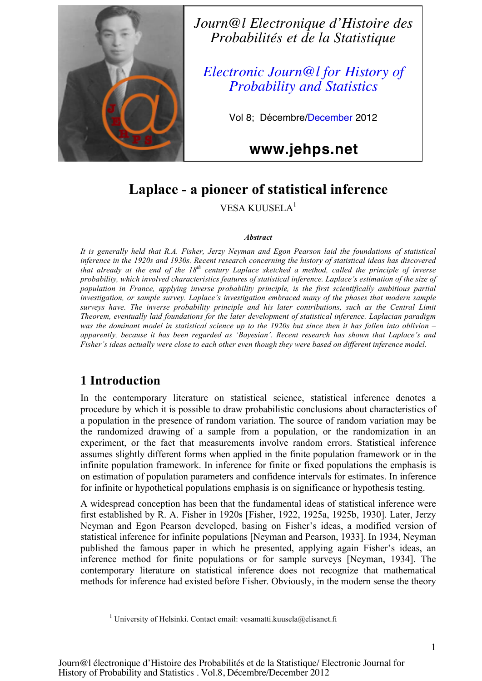

*Journ@l Electronique d'Histoire des Probabilités et de la Statistique*

*Electronic Journ@l for History of Probability and Statistics*

Vol 8; Décembre/December 2012

**www.jehps.net**

## **Laplace - a pioneer of statistical inference**

VESA KUUSELA<sup>1</sup>

#### *Abstract*

*It is generally held that R.A. Fisher, Jerzy Neyman and Egon Pearson laid the foundations of statistical inference in the 1920s and 1930s. Recent research concerning the history of statistical ideas has discovered that already at the end of the 18th century Laplace sketched a method, called the principle of inverse probability, which involved characteristics features of statistical inference. Laplace's estimation of the size of population in France, applying inverse probability principle, is the first scientifically ambitious partial investigation, or sample survey. Laplace's investigation embraced many of the phases that modern sample surveys have. The inverse probability principle and his later contributions, such as the Central Limit Theorem, eventually laid foundations for the later development of statistical inference. Laplacian paradigm was the dominant model in statistical science up to the 1920s but since then it has fallen into oblivion – apparently, because it has been regarded as 'Bayesian'. Recent research has shown that Laplace's and Fisher's ideas actually were close to each other even though they were based on different inference model.* 

## **1 Introduction**

-

In the contemporary literature on statistical science, statistical inference denotes a procedure by which it is possible to draw probabilistic conclusions about characteristics of a population in the presence of random variation. The source of random variation may be the randomized drawing of a sample from a population, or the randomization in an experiment, or the fact that measurements involve random errors. Statistical inference assumes slightly different forms when applied in the finite population framework or in the infinite population framework. In inference for finite or fixed populations the emphasis is on estimation of population parameters and confidence intervals for estimates. In inference for infinite or hypothetical populations emphasis is on significance or hypothesis testing.

A widespread conception has been that the fundamental ideas of statistical inference were first established by R. A. Fisher in 1920s [Fisher, 1922, 1925a, 1925b, 1930]. Later, Jerzy Neyman and Egon Pearson developed, basing on Fisher's ideas, a modified version of statistical inference for infinite populations [Neyman and Pearson, 1933]. In 1934, Neyman published the famous paper in which he presented, applying again Fisher's ideas, an inference method for finite populations or for sample surveys [Neyman, 1934]. The contemporary literature on statistical inference does not recognize that mathematical methods for inference had existed before Fisher. Obviously, in the modern sense the theory

<sup>&</sup>lt;sup>1</sup> University of Helsinki. Contact email: vesamatti.kuusela@elisanet.fi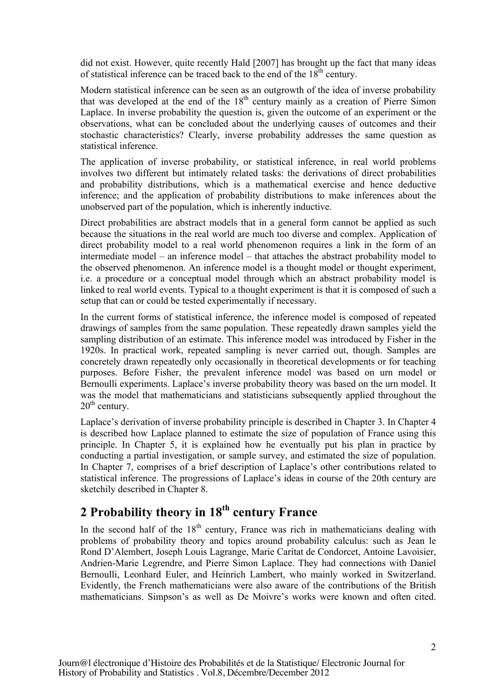did not exist. However, quite recently Hald [2007] has brought up the fact that many ideas of statistical inference can be traced back to the end of the  $18<sup>th</sup>$  century.

Modern statistical inference can be seen as an outgrowth of the idea of inverse probability that was developed at the end of the  $18<sup>th</sup>$  century mainly as a creation of Pierre Simon Laplace. In inverse probability the question is, given the outcome of an experiment or the observations, what can be concluded about the underlying causes of outcomes and their stochastic characteristics? Clearly, inverse probability addresses the same question as statistical inference.

The application of inverse probability, or statistical inference, in real world problems involves two different but intimately related tasks: the derivations of direct probabilities and probability distributions, which is a mathematical exercise and hence deductive inference; and the application of probability distributions to make inferences about the unobserved part of the population, which is inherently inductive.

Direct probabilities are abstract models that in a general form cannot be applied as such because the situations in the real world are much too diverse and complex. Application of direct probability model to a real world phenomenon requires a link in the form of an intermediate model – an inference model – that attaches the abstract probability model to the observed phenomenon. An inference model is a thought model or thought experiment, i.e. a procedure or a conceptual model through which an abstract probability model is linked to real world events. Typical to a thought experiment is that it is composed of such a setup that can or could be tested experimentally if necessary.

In the current forms of statistical inference, the inference model is composed of repeated drawings of samples from the same population. These repeatedly drawn samples yield the sampling distribution of an estimate. This inference model was introduced by Fisher in the 1920s. In practical work, repeated sampling is never carried out, though. Samples are concretely drawn repeatedly only occasionally in theoretical developments or for teaching purposes. Before Fisher, the prevalent inference model was based on urn model or Bernoulli experiments. Laplace's inverse probability theory was based on the urn model. It was the model that mathematicians and statisticians subsequently applied throughout the  $20<sup>th</sup>$  century.

Laplace's derivation of inverse probability principle is described in Chapter 3. In Chapter 4 is described how Laplace planned to estimate the size of population of France using this principle. In Chapter 5, it is explained how he eventually put his plan in practice by conducting a partial investigation, or sample survey, and estimated the size of population. In Chapter 7, comprises of a brief description of Laplace's other contributions related to statistical inference. The progressions of Laplace's ideas in course of the 20th century are sketchily described in Chapter 8.

# **2 Probability theory in 18th century France**

In the second half of the  $18<sup>th</sup>$  century, France was rich in mathematicians dealing with problems of probability theory and topics around probability calculus: such as Jean le Rond D'Alembert, Joseph Louis Lagrange, Marie Caritat de Condorcet, Antoine Lavoisier, Andrien-Marie Legrendre, and Pierre Simon Laplace. They had connections with Daniel Bernoulli, Leonhard Euler, and Heinrich Lambert, who mainly worked in Switzerland. Evidently, the French mathematicians were also aware of the contributions of the British mathematicians. Simpson's as well as De Moivre's works were known and often cited.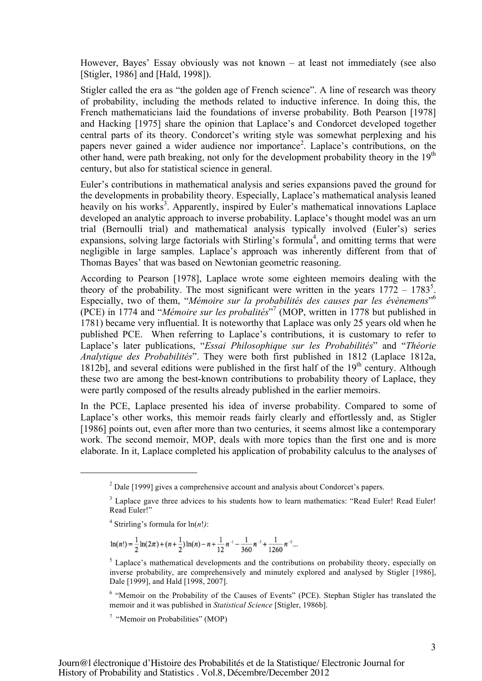However, Bayes' Essay obviously was not known – at least not immediately (see also [Stigler, 1986] and [Hald, 1998]).

Stigler called the era as "the golden age of French science". A line of research was theory of probability, including the methods related to inductive inference. In doing this, the French mathematicians laid the foundations of inverse probability. Both Pearson [1978] and Hacking [1975] share the opinion that Laplace's and Condorcet developed together central parts of its theory. Condorcet's writing style was somewhat perplexing and his papers never gained a wider audience nor importance<sup>2</sup>. Laplace's contributions, on the other hand, were path breaking, not only for the development probability theory in the  $19<sup>th</sup>$ century, but also for statistical science in general.

Euler's contributions in mathematical analysis and series expansions paved the ground for the developments in probability theory. Especially, Laplace's mathematical analysis leaned heavily on his works<sup>3</sup>. Apparently, inspired by Euler's mathematical innovations Laplace developed an analytic approach to inverse probability. Laplace's thought model was an urn trial (Bernoulli trial) and mathematical analysis typically involved (Euler's) series expansions, solving large factorials with Stirling's formula<sup>4</sup>, and omitting terms that were negligible in large samples. Laplace's approach was inherently different from that of Thomas Bayes' that was based on Newtonian geometric reasoning.

According to Pearson [1978], Laplace wrote some eighteen memoirs dealing with the theory of the probability. The most significant were written in the years  $1772 - 1783^5$ . Especially, two of them, "*Mémoire sur la probabilités des causes par les évènemens*" 6 (PCE) in 1774 and "*Mémoire sur les probalités*" 7 (MOP, written in 1778 but published in 1781) became very influential. It is noteworthy that Laplace was only 25 years old when he published PCE. When referring to Laplace's contributions, it is customary to refer to Laplace's later publications, "*Essai Philosophique sur les Probabilités*" and "*Théorie Analytique des Probabilités*". They were both first published in 1812 (Laplace 1812a, 1812b], and several editions were published in the first half of the  $19<sup>th</sup>$  century. Although these two are among the best-known contributions to probability theory of Laplace, they were partly composed of the results already published in the earlier memoirs.

In the PCE, Laplace presented his idea of inverse probability. Compared to some of Laplace's other works, this memoir reads fairly clearly and effortlessly and, as Stigler [1986] points out, even after more than two centuries, it seems almost like a contemporary work. The second memoir, MOP, deals with more topics than the first one and is more elaborate. In it, Laplace completed his application of probability calculus to the analyses of

-

$$
\ln(n!) = \frac{1}{2}\ln(2\pi) + (n+\frac{1}{2})\ln(n) - n + \frac{1}{12}n^{-1} - \frac{1}{360}n^{-3} + \frac{1}{1260}n^{-5}...
$$

<sup>6</sup> "Memoir on the Probability of the Causes of Events" (PCE). Stephan Stigler has translated the memoir and it was published in *Statistical Science* [Stigler, 1986b].

7 "Memoir on Probabilities" (MOP)

 $2$  Dale [1999] gives a comprehensive account and analysis about Condorcet's papers.

<sup>&</sup>lt;sup>3</sup> Laplace gave three advices to his students how to learn mathematics: "Read Euler! Read Euler! Read Euler!"

<sup>&</sup>lt;sup>4</sup> Strirling's formula for  $ln(n!)$ :

 $<sup>5</sup>$  Laplace's mathematical developments and the contributions on probability theory, especially on</sup> inverse probability, are comprehensively and minutely explored and analysed by Stigler [1986], Dale [1999], and Hald [1998, 2007].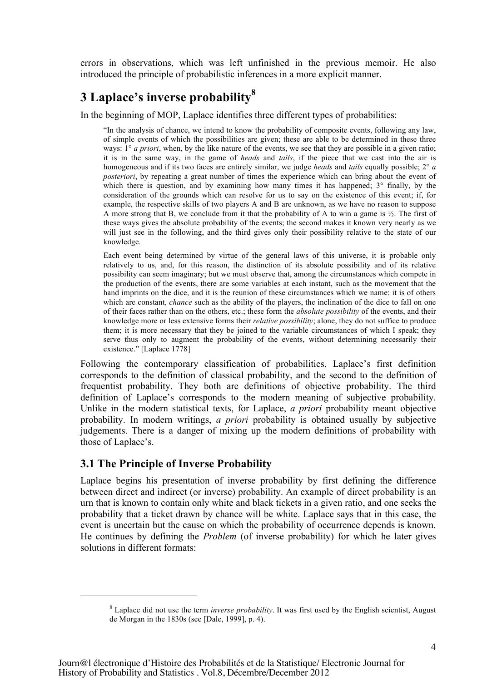errors in observations, which was left unfinished in the previous memoir. He also introduced the principle of probabilistic inferences in a more explicit manner.

## **3 Laplace's inverse probability<sup>8</sup>**

In the beginning of MOP, Laplace identifies three different types of probabilities:

"In the analysis of chance, we intend to know the probability of composite events, following any law, of simple events of which the possibilities are given; these are able to be determined in these three ways: 1° *a priori*, when, by the like nature of the events, we see that they are possible in a given ratio; it is in the same way, in the game of *heads* and *tails*, if the piece that we cast into the air is homogeneous and if its two faces are entirely similar, we judge *heads* and *tails* equally possible; 2° *a posteriori*, by repeating a great number of times the experience which can bring about the event of which there is question, and by examining how many times it has happened; 3<sup>°</sup> finally, by the consideration of the grounds which can resolve for us to say on the existence of this event; if, for example, the respective skills of two players A and B are unknown, as we have no reason to suppose A more strong that B, we conclude from it that the probability of A to win a game is  $\frac{1}{2}$ . The first of these ways gives the absolute probability of the events; the second makes it known very nearly as we will just see in the following, and the third gives only their possibility relative to the state of our knowledge.

Each event being determined by virtue of the general laws of this universe, it is probable only relatively to us, and, for this reason, the distinction of its absolute possibility and of its relative possibility can seem imaginary; but we must observe that, among the circumstances which compete in the production of the events, there are some variables at each instant, such as the movement that the hand imprints on the dice, and it is the reunion of these circumstances which we name: it is of others which are constant, *chance* such as the ability of the players, the inclination of the dice to fall on one of their faces rather than on the others, etc.; these form the *absolute possibility* of the events, and their knowledge more or less extensive forms their *relative possibility*; alone, they do not suffice to produce them; it is more necessary that they be joined to the variable circumstances of which I speak; they serve thus only to augment the probability of the events, without determining necessarily their existence." [Laplace 1778]

Following the contemporary classification of probabilities, Laplace's first definition corresponds to the definition of classical probability, and the second to the definition of frequentist probability. They both are definitions of objective probability. The third definition of Laplace's corresponds to the modern meaning of subjective probability. Unlike in the modern statistical texts, for Laplace, *a priori* probability meant objective probability. In modern writings, *a priori* probability is obtained usually by subjective judgements. There is a danger of mixing up the modern definitions of probability with those of Laplace's.

### **3.1 The Principle of Inverse Probability**

-

Laplace begins his presentation of inverse probability by first defining the difference between direct and indirect (or inverse) probability. An example of direct probability is an urn that is known to contain only white and black tickets in a given ratio, and one seeks the probability that a ticket drawn by chance will be white. Laplace says that in this case, the event is uncertain but the cause on which the probability of occurrence depends is known. He continues by defining the *Problem* (of inverse probability) for which he later gives solutions in different formats:

<sup>8</sup> Laplace did not use the term *inverse probability*. It was first used by the English scientist, August de Morgan in the 1830s (see [Dale, 1999], p. 4).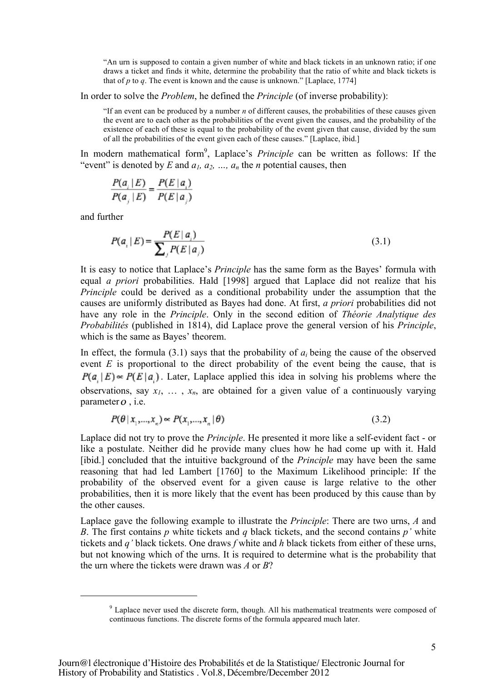"An urn is supposed to contain a given number of white and black tickets in an unknown ratio; if one draws a ticket and finds it white, determine the probability that the ratio of white and black tickets is that of  $p$  to  $q$ . The event is known and the cause is unknown." [Laplace, 1774]

In order to solve the *Problem*, he defined the *Principle* (of inverse probability):

"If an event can be produced by a number *n* of different causes, the probabilities of these causes given the event are to each other as the probabilities of the event given the causes, and the probability of the existence of each of these is equal to the probability of the event given that cause, divided by the sum of all the probabilities of the event given each of these causes." [Laplace, ibid.]

In modern mathematical form<sup>9</sup>, Laplace's *Principle* can be written as follows: If the "event" is denoted by  $E$  and  $a_1, a_2, ..., a_n$  the *n* potential causes, then

$$
\frac{P(a_i | E)}{P(a_j | E)} = \frac{P(E | a_i)}{P(E | a_j)}
$$

and further

-

$$
P(a_i | E) = \frac{P(E | a_i)}{\sum_{j} P(E | a_j)}
$$
(3.1)

It is easy to notice that Laplace's *Principle* has the same form as the Bayes' formula with equal *a priori* probabilities. Hald [1998] argued that Laplace did not realize that his *Principle* could be derived as a conditional probability under the assumption that the causes are uniformly distributed as Bayes had done. At first, *a priori* probabilities did not have any role in the *Principle*. Only in the second edition of *Théorie Analytique des Probabilités* (published in 1814), did Laplace prove the general version of his *Principle*, which is the same as Bayes' theorem.

In effect, the formula  $(3.1)$  says that the probability of  $a_i$  being the cause of the observed event *E* is proportional to the direct probability of the event being the cause, that is  $P(a, |E) \propto P(E | a)$ . Later, Laplace applied this idea in solving his problems where the observations, say  $x_1, \ldots, x_n$ , are obtained for a given value of a continuously varying parameter  $o$ , i.e.

$$
P(\theta \mid x_1, \dots, x_n) \approx P(x_1, \dots, x_n \mid \theta) \tag{3.2}
$$

Laplace did not try to prove the *Principle*. He presented it more like a self-evident fact - or like a postulate. Neither did he provide many clues how he had come up with it. Hald [ibid.] concluded that the intuitive background of the *Principle* may have been the same reasoning that had led Lambert [1760] to the Maximum Likelihood principle: If the probability of the observed event for a given cause is large relative to the other probabilities, then it is more likely that the event has been produced by this cause than by the other causes.

Laplace gave the following example to illustrate the *Principle*: There are two urns, *A* and *B*. The first contains *p* white tickets and *q* black tickets, and the second contains *p'* white tickets and *q'* black tickets. One draws *f* white and *h* black tickets from either of these urns, but not knowing which of the urns. It is required to determine what is the probability that the urn where the tickets were drawn was *A* or *B*?

<sup>&</sup>lt;sup>9</sup> Laplace never used the discrete form, though. All his mathematical treatments were composed of continuous functions. The discrete forms of the formula appeared much later.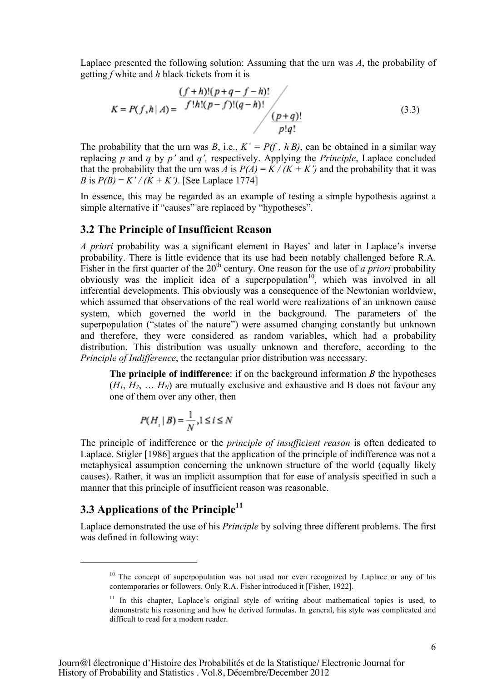Laplace presented the following solution: Assuming that the urn was *A*, the probability of getting *f* white and *h* black tickets from it is

$$
K = P(f, h | A) = \frac{\frac{(f+h)!(p+q-f-h)!}{f!h!(p-f)!(q-h)!}}{\frac{(p+q)!}{p!q!}}
$$
\n(3.3)

The probability that the urn was *B*, i.e.,  $K' = P(f, h|B)$ , can be obtained in a similar way replacing *p* and *q* by *p'* and *q',* respectively. Applying the *Principle*, Laplace concluded that the probability that the urn was *A* is  $P(A) = K / (K + K')$  and the probability that it was *B* is  $P(B) = K'/(K + K')$ . [See Laplace 1774]

In essence, this may be regarded as an example of testing a simple hypothesis against a simple alternative if "causes" are replaced by "hypotheses".

#### **3.2 The Principle of Insufficient Reason**

*A priori* probability was a significant element in Bayes' and later in Laplace's inverse probability. There is little evidence that its use had been notably challenged before R.A. Fisher in the first quarter of the  $20<sup>th</sup>$  century. One reason for the use of *a priori* probability obviously was the implicit idea of a superpopulation<sup>10</sup>, which was involved in all inferential developments. This obviously was a consequence of the Newtonian worldview, which assumed that observations of the real world were realizations of an unknown cause system, which governed the world in the background. The parameters of the superpopulation ("states of the nature") were assumed changing constantly but unknown and therefore, they were considered as random variables, which had a probability distribution. This distribution was usually unknown and therefore, according to the *Principle of Indifference*, the rectangular prior distribution was necessary.

**The principle of indifference**: if on the background information *B* the hypotheses  $(H_1, H_2, \ldots, H_N)$  are mutually exclusive and exhaustive and B does not favour any one of them over any other, then

$$
P(H_i | B) = \frac{1}{N}, 1 \le i \le N
$$

The principle of indifference or the *principle of insufficient reason* is often dedicated to Laplace. Stigler [1986] argues that the application of the principle of indifference was not a metaphysical assumption concerning the unknown structure of the world (equally likely causes). Rather, it was an implicit assumption that for ease of analysis specified in such a manner that this principle of insufficient reason was reasonable.

### **3.3 Applications of the Principle 11**

-

Laplace demonstrated the use of his *Principle* by solving three different problems. The first was defined in following way:

 $10$  The concept of superpopulation was not used nor even recognized by Laplace or any of his contemporaries or followers. Only R.A. Fisher introduced it [Fisher, 1922].

<sup>&</sup>lt;sup>11</sup> In this chapter, Laplace's original style of writing about mathematical topics is used, to demonstrate his reasoning and how he derived formulas. In general, his style was complicated and difficult to read for a modern reader.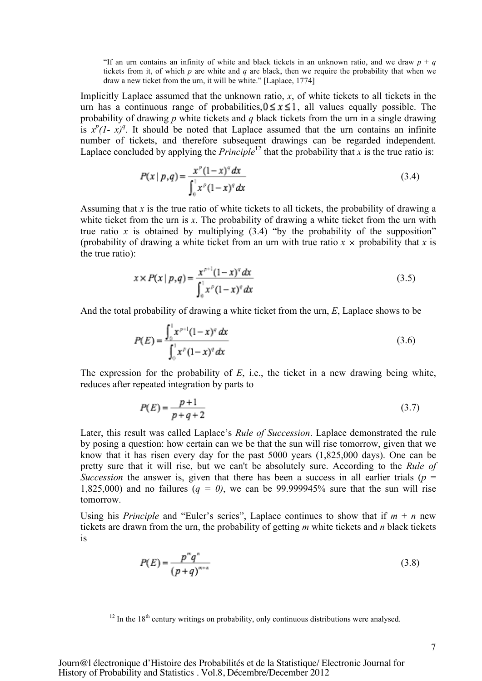"If an urn contains an infinity of white and black tickets in an unknown ratio, and we draw  $p + q$ tickets from it, of which *p* are white and *q* are black, then we require the probability that when we draw a new ticket from the urn, it will be white." [Laplace, 1774]

Implicitly Laplace assumed that the unknown ratio, *x*, of white tickets to all tickets in the urn has a continuous range of probabilities,  $0 \le x \le 1$ , all values equally possible. The probability of drawing *p* white tickets and *q* black tickets from the urn in a single drawing is  $x^p(1-x)^q$ . It should be noted that Laplace assumed that the urn contains an infinite number of tickets, and therefore subsequent drawings can be regarded independent. Laplace concluded by applying the *Principle*<sup>12</sup> that the probability that *x* is the true ratio is:

$$
P(x \mid p, q) = \frac{x^{p}(1-x)^{q} dx}{\int_{0}^{1} x^{p}(1-x)^{q} dx}
$$
\n(3.4)

Assuming that *x* is the true ratio of white tickets to all tickets, the probability of drawing a white ticket from the urn is *x*. The probability of drawing a white ticket from the urn with true ratio  $x$  is obtained by multiplying  $(3.4)$  "by the probability of the supposition" (probability of drawing a white ticket from an urn with true ratio  $x \times$  probability that *x* is the true ratio):

$$
x \times P(x \mid p, q) = \frac{x^{p+1}(1-x)^{q} dx}{\int_0^1 x^p (1-x)^{q} dx}
$$
\n(3.5)

And the total probability of drawing a white ticket from the urn, *E*, Laplace shows to be

$$
P(E) = \frac{\int_0^1 x^{p+1} (1-x)^q dx}{\int_0^1 x^p (1-x)^q dx}
$$
 (3.6)

The expression for the probability of *E*, i.e., the ticket in a new drawing being white, reduces after repeated integration by parts to

$$
P(E) = \frac{p+1}{p+q+2}
$$
 (3.7)

Later, this result was called Laplace's *Rule of Succession*. Laplace demonstrated the rule by posing a question: how certain can we be that the sun will rise tomorrow, given that we know that it has risen every day for the past 5000 years (1,825,000 days). One can be pretty sure that it will rise, but we can't be absolutely sure. According to the *Rule of Succession* the answer is, given that there has been a success in all earlier trials ( $p =$ 1,825,000) and no failures ( $q = 0$ ), we can be 99.999945% sure that the sun will rise tomorrow.

Using his *Principle* and "Euler's series", Laplace continues to show that if  $m + n$  new tickets are drawn from the urn, the probability of getting *m* white tickets and *n* black tickets is

$$
P(E) = \frac{p^{\alpha}q^{\alpha}}{(p+q)^{\alpha+\alpha}}
$$
\n
$$
(3.8)
$$

-

 $12$  In the 18<sup>th</sup> century writings on probability, only continuous distributions were analysed.

Journ@l électronique d'Histoire des Probabilités et de la Statistique/ Electronic Journal for History of Probability and Statistics . Vol.8, Décembre/December 2012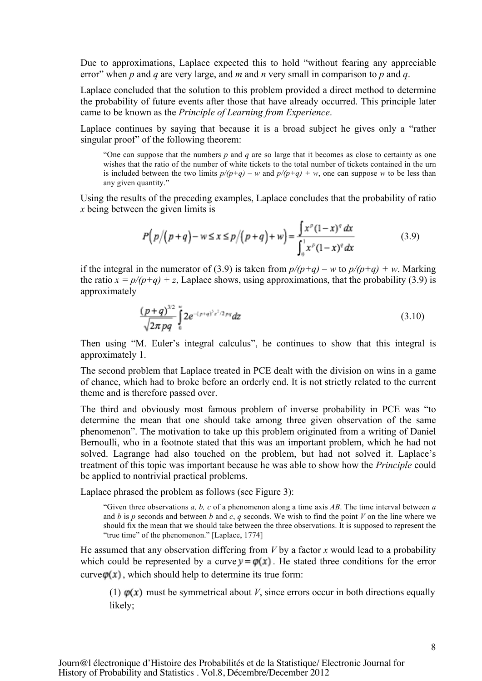Due to approximations, Laplace expected this to hold "without fearing any appreciable error" when *p* and *q* are very large, and *m* and *n* very small in comparison to *p* and *q*.

Laplace concluded that the solution to this problem provided a direct method to determine the probability of future events after those that have already occurred. This principle later came to be known as the *Principle of Learning from Experience*.

Laplace continues by saying that because it is a broad subject he gives only a "rather singular proof" of the following theorem:

"One can suppose that the numbers *p* and *q* are so large that it becomes as close to certainty as one wishes that the ratio of the number of white tickets to the total number of tickets contained in the urn is included between the two limits  $p/(p+q) - w$  and  $p/(p+q) + w$ , one can suppose w to be less than any given quantity."

Using the results of the preceding examples, Laplace concludes that the probability of ratio *x* being between the given limits is

$$
P(p/(p+q)-w \le x \le p/(p+q)+w) = \frac{\int x^p (1-x)^q dx}{\int_0^1 x^p (1-x)^q dx}
$$
(3.9)

if the integral in the numerator of (3.9) is taken from  $p/(p+q) - w$  to  $p/(p+q) + w$ . Marking the ratio  $x = p/(p+q) + z$ , Laplace shows, using approximations, that the probability (3.9) is approximately

$$
\frac{(p+q)^{3/2}}{\sqrt{2\pi pq}}\int_{0}^{\infty} 2e^{-(p+q)^2z^2/2pq}dz\tag{3.10}
$$

Then using "M. Euler's integral calculus", he continues to show that this integral is approximately 1.

The second problem that Laplace treated in PCE dealt with the division on wins in a game of chance, which had to broke before an orderly end. It is not strictly related to the current theme and is therefore passed over.

The third and obviously most famous problem of inverse probability in PCE was "to determine the mean that one should take among three given observation of the same phenomenon". The motivation to take up this problem originated from a writing of Daniel Bernoulli, who in a footnote stated that this was an important problem, which he had not solved. Lagrange had also touched on the problem, but had not solved it. Laplace's treatment of this topic was important because he was able to show how the *Principle* could be applied to nontrivial practical problems.

Laplace phrased the problem as follows (see Figure 3):

"Given three observations *a, b, c* of a phenomenon along a time axis *AB*. The time interval between *a* and *b* is *p* seconds and between *b* and *c*, *q* seconds. We wish to find the point *V* on the line where we should fix the mean that we should take between the three observations. It is supposed to represent the "true time" of the phenomenon." [Laplace, 1774]

He assumed that any observation differing from *V* by a factor *x* would lead to a probability which could be represented by a curve  $y = \varphi(x)$ . He stated three conditions for the error curve  $\varphi(x)$ , which should help to determine its true form:

(1)  $\varphi(x)$  must be symmetrical about *V*, since errors occur in both directions equally likely;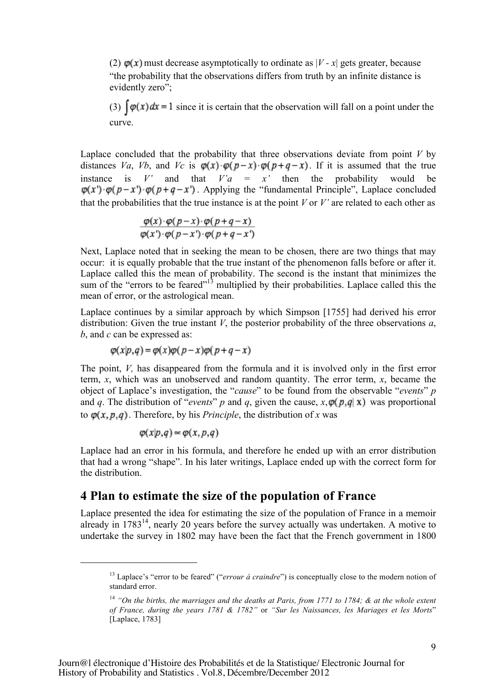(2)  $\varphi(x)$  must decrease asymptotically to ordinate as  $|V - x|$  gets greater, because "the probability that the observations differs from truth by an infinite distance is evidently zero";

(3)  $\int \varphi(x) dx = 1$  since it is certain that the observation will fall on a point under the curve.

Laplace concluded that the probability that three observations deviate from point  $V$  by distances *Va*, *Vb*, and *Vc* is  $\varphi(x) \cdot \varphi(p-x) \cdot \varphi(p+q-x)$ . If it is assumed that the true instance is *V'* and that  $V'a = x'$  then the probability would be  $\varphi(x') \cdot \varphi(p-x') \cdot \varphi(p+q-x')$ . Applying the "fundamental Principle", Laplace concluded that the probabilities that the true instance is at the point  $V$  or  $V'$  are related to each other as

$$
\frac{\varphi(x)\cdot\varphi(p-x)\cdot\varphi(p+q-x)}{\varphi(x')\cdot\varphi(p-x')\cdot\varphi(p+q-x')}
$$

Next, Laplace noted that in seeking the mean to be chosen, there are two things that may occur: it is equally probable that the true instant of the phenomenon falls before or after it. Laplace called this the mean of probability. The second is the instant that minimizes the sum of the "errors to be feared"<sup>13</sup> multiplied by their probabilities. Laplace called this the mean of error, or the astrological mean.

Laplace continues by a similar approach by which Simpson [1755] had derived his error distribution: Given the true instant *V*, the posterior probability of the three observations *a*, *b*, and *c* can be expressed as:

$$
\varphi(x|p,q) = \varphi(x)\varphi(p-x)\varphi(p+q-x)
$$

The point, *V*, has disappeared from the formula and it is involved only in the first error term, *x*, which was an unobserved and random quantity. The error term, *x*, became the object of Laplace's investigation, the "*cause*" to be found from the observable "*events*" *p* and *q*. The distribution of "*events*" *p* and *q*, given the cause,  $x, \varphi(p,q|x)$  was proportional to  $\varphi(x, p, q)$ . Therefore, by his *Principle*, the distribution of *x* was

$$
\varphi(x|p,q) \approx \varphi(x,p,q)
$$

-

Laplace had an error in his formula, and therefore he ended up with an error distribution that had a wrong "shape". In his later writings, Laplace ended up with the correct form for the distribution.

### **4 Plan to estimate the size of the population of France**

Laplace presented the idea for estimating the size of the population of France in a memoir already in  $1783^{14}$ , nearly 20 years before the survey actually was undertaken. A motive to undertake the survey in 1802 may have been the fact that the French government in 1800

<sup>&</sup>lt;sup>13</sup> Laplace's "error to be feared" ("*errour á craindre*") is conceptually close to the modern notion of standard error.

<sup>14</sup> *"On the births, the marriages and the deaths at Paris, from 1771 to 1784; & at the whole extent of France, during the years 1781 & 1782"* or *"Sur les Naissances, les Mariages et les Morts*" [Laplace, 1783]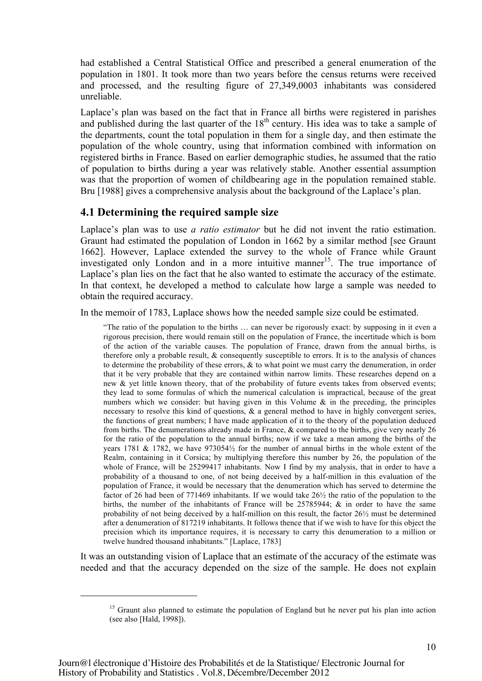had established a Central Statistical Office and prescribed a general enumeration of the population in 1801. It took more than two years before the census returns were received and processed, and the resulting figure of 27,349,0003 inhabitants was considered unreliable.

Laplace's plan was based on the fact that in France all births were registered in parishes and published during the last quarter of the 18th century. His idea was to take a sample of the departments, count the total population in them for a single day, and then estimate the population of the whole country, using that information combined with information on registered births in France. Based on earlier demographic studies, he assumed that the ratio of population to births during a year was relatively stable. Another essential assumption was that the proportion of women of childbearing age in the population remained stable. Bru [1988] gives a comprehensive analysis about the background of the Laplace's plan.

#### **4.1 Determining the required sample size**

Laplace's plan was to use *a ratio estimator* but he did not invent the ratio estimation. Graunt had estimated the population of London in 1662 by a similar method [see Graunt 1662]. However, Laplace extended the survey to the whole of France while Graunt investigated only London and in a more intuitive manner<sup>15</sup>. The true importance of Laplace's plan lies on the fact that he also wanted to estimate the accuracy of the estimate. In that context, he developed a method to calculate how large a sample was needed to obtain the required accuracy.

In the memoir of 1783, Laplace shows how the needed sample size could be estimated.

"The ratio of the population to the births … can never be rigorously exact: by supposing in it even a rigorous precision, there would remain still on the population of France, the incertitude which is born of the action of the variable causes. The population of France, drawn from the annual births, is therefore only a probable result, & consequently susceptible to errors. It is to the analysis of chances to determine the probability of these errors, & to what point we must carry the denumeration, in order that it be very probable that they are contained within narrow limits. These researches depend on a new & yet little known theory, that of the probability of future events takes from observed events; they lead to some formulas of which the numerical calculation is impractical, because of the great numbers which we consider: but having given in this Volume  $\&$  in the preceding, the principles necessary to resolve this kind of questions, & a general method to have in highly convergent series, the functions of great numbers; I have made application of it to the theory of the population deduced from births. The denumerations already made in France, & compared to the births, give very nearly 26 for the ratio of the population to the annual births; now if we take a mean among the births of the years 1781 & 1782, we have  $973054\frac{1}{2}$  for the number of annual births in the whole extent of the Realm, containing in it Corsica; by multiplying therefore this number by 26, the population of the whole of France, will be 25299417 inhabitants. Now I find by my analysis, that in order to have a probability of a thousand to one, of not being deceived by a half-million in this evaluation of the population of France, it would be necessary that the denumeration which has served to determine the factor of 26 had been of 771469 inhabitants. If we would take 26½ the ratio of the population to the births, the number of the inhabitants of France will be  $25785944$ ;  $\&$  in order to have the same probability of not being deceived by a half-million on this result, the factor  $26\frac{1}{2}$  must be determined after a denumeration of 817219 inhabitants. It follows thence that if we wish to have for this object the precision which its importance requires, it is necessary to carry this denumeration to a million or twelve hundred thousand inhabitants." [Laplace, 1783]

It was an outstanding vision of Laplace that an estimate of the accuracy of the estimate was needed and that the accuracy depended on the size of the sample. He does not explain

-

<sup>&</sup>lt;sup>15</sup> Graunt also planned to estimate the population of England but he never put his plan into action (see also [Hald, 1998]).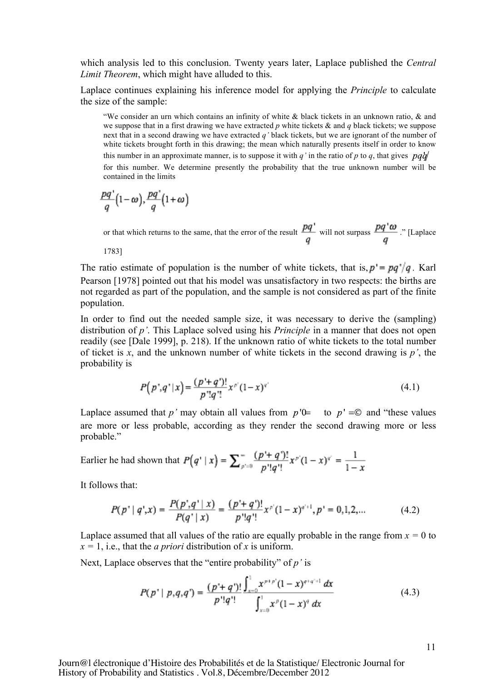which analysis led to this conclusion. Twenty years later, Laplace published the *Central Limit Theorem*, which might have alluded to this.

Laplace continues explaining his inference model for applying the *Principle* to calculate the size of the sample:

"We consider an urn which contains an infinity of white & black tickets in an unknown ratio, & and we suppose that in a first drawing we have extracted *p* white tickets & and *q* black tickets; we suppose next that in a second drawing we have extracted *q'* black tickets, but we are ignorant of the number of white tickets brought forth in this drawing; the mean which naturally presents itself in order to know this number in an approximate manner, is to suppose it with *q'* in the ratio of *p* to *q*, that gives  $\frac{pq}{q}$ for this number. We determine presently the probability that the true unknown number will be contained in the limits

$$
\frac{pq}{q}\left(1-\omega\right),\frac{pq}{q}\left(1+\omega\right)
$$

or that which returns to the same, that the error of the result  $\frac{pq}{q}$  will not surpass  $\frac{pq' \omega}{q}$ . [Laplace

1783]

The ratio estimate of population is the number of white tickets, that is,  $p' = pq'/q$ . Karl Pearson [1978] pointed out that his model was unsatisfactory in two respects: the births are not regarded as part of the population, and the sample is not considered as part of the finite population.

In order to find out the needed sample size, it was necessary to derive the (sampling) distribution of *p'*. This Laplace solved using his *Principle* in a manner that does not open readily (see [Dale 1999], p. 218). If the unknown ratio of white tickets to the total number of ticket is *x*, and the unknown number of white tickets in the second drawing is *p'*, the probability is

$$
P(p^*,q^*|x) = \frac{(p'+q')!}{p^*!q^*}x^{p^*}(1-x)^{q^*}
$$
\n(4.1)

Laplace assumed that *p*' may obtain all values from  $p'$ <sup> $\downarrow$ </sup> to  $p' = \textcircled{c}$  and "these values" are more or less probable, according as they render the second drawing more or less probable."

Earlier he had shown that 
$$
P(q' | x) = \sum_{p'=0}^{\infty} \frac{(p' + q')!}{p'!q'!} x^{p'} (1 - x)^{q'} = \frac{1}{1 - x}
$$

It follows that:

$$
P(p^* | q^*, x) = \frac{P(p^*, q^* | x)}{P(q^* | x)} = \frac{(p^* + q^*)!}{p^*! q^*} x^{p^*} (1 - x)^{q^* + 1}, p^* = 0, 1, 2, \dots
$$
 (4.2)

Laplace assumed that all values of the ratio are equally probable in the range from  $x = 0$  to  $x = 1$ , i.e., that the *a priori* distribution of *x* is uniform.

Next, Laplace observes that the "entire probability" of *p'* is

$$
P(p^* \mid p, q, q^*) = \frac{(p^* + q^*)!}{p^*! q^*!} \frac{\int_{x=0}^{1} x^{p+p^*} (1-x)^{q+q^*+1} dx}{\int_{x=0}^{1} x^p (1-x)^q dx}
$$
(4.3)

Journ@l électronique d'Histoire des Probabilités et de la Statistique/ Electronic Journal for History of Probability and Statistics . Vol.8, Décembre/December 2012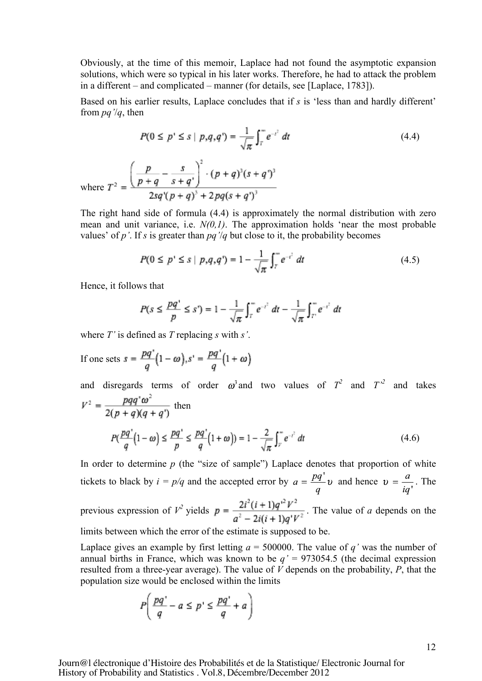Obviously, at the time of this memoir, Laplace had not found the asymptotic expansion solutions, which were so typical in his later works. Therefore, he had to attack the problem in a different – and complicated – manner (for details, see [Laplace, 1783]).

Based on his earlier results, Laplace concludes that if *s* is 'less than and hardly different' from *pq'*/*q*, then

$$
P(0 \le p' \le s \mid p,q,q') = \frac{1}{\sqrt{\pi}} \int_{T}^{\infty} e^{-t^2} dt
$$
\n
$$
\left(\frac{p}{p+q} - \frac{s}{s+q'}\right)^2 \cdot (p+q)^3 (s+q')^3
$$
\n(4.4)

where  $T^2$  =  $\frac{1}{2sq'(p+q)^3+2pq(s+q')^3}$ 

The right hand side of formula (4.4) is approximately the normal distribution with zero mean and unit variance, i.e. *N(0,1)*. The approximation holds 'near the most probable values' of  $p'$ . If *s* is greater than  $pq'/q$  but close to it, the probability becomes

$$
P(0 \le p^* \le s \mid p, q, q^*) = 1 - \frac{1}{\sqrt{\pi}} \int_{T}^{\infty} e^{-t^2} dt \tag{4.5}
$$

Hence, it follows that

$$
P(s \le \frac{pq'}{p} \le s') = 1 - \frac{1}{\sqrt{\pi}} \int_{T}^{\infty} e^{-s^2} dt - \frac{1}{\sqrt{\pi}} \int_{T'}^{\infty} e^{-s^2} dt
$$

where *T'* is defined as *T* replacing *s* with *s'*.

If one sets  $s = \frac{pq'}{q}(1-\omega), s' = \frac{pq'}{q}(1+\omega)$ 

and disregards terms of order 
$$
\omega^3
$$
 and two values of  $T^2$  and  $T'^2$  and takes  
\n
$$
V^2 = \frac{pqq^r\omega^2}{2(p+q)(q+q^r)}
$$
 then  
\n
$$
P(\frac{pq^r}{q}(1-\omega)) \le \frac{pq^r}{p} \le \frac{pq^r}{q}(1+\omega) = 1 - \frac{2}{\sqrt{\pi}} \int_{r}^{\infty} e^{-t^2} dt
$$
 (4.6)

In order to determine *p* (the "size of sample") Laplace denotes that proportion of white tickets to black by  $i = p/q$  and the accepted error by  $a = \frac{pq'}{q}v$  and hence  $v = \frac{a}{iq'}$ . The previous expression of  $V^2$  yields  $p = \frac{2i^2(i+1)q^{i^2}V^2}{a^2 - 2i(i+1)q^{i^2}V^2}$ . The value of *a* depends on the

limits between which the error of the estimate is supposed to be.

Laplace gives an example by first letting  $a = 500000$ . The value of *q'* was the number of annual births in France, which was known to be  $q' = 973054.5$  (the decimal expression resulted from a three-year average). The value of *V* depends on the probability, *P*, that the population size would be enclosed within the limits

$$
P\left(\frac{pq'}{q} - a \le p' \le \frac{pq'}{q} + a\right)
$$

Journ@l électronique d'Histoire des Probabilités et de la Statistique/ Electronic Journal for History of Probability and Statistics . Vol.8, Décembre/December 2012

12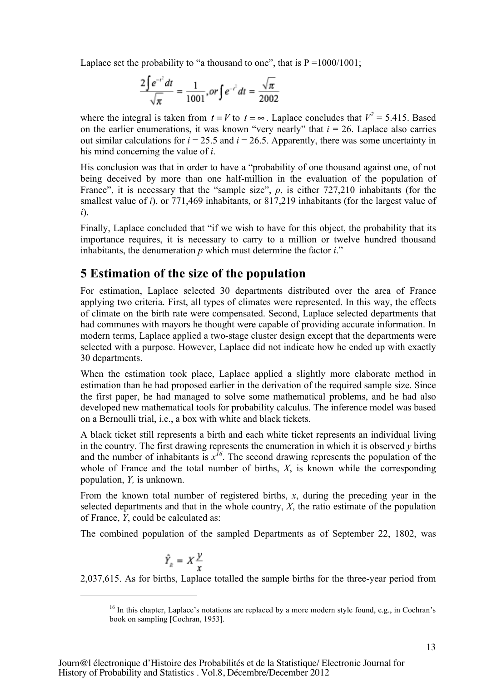Laplace set the probability to "a thousand to one", that is  $P = 1000/1001$ ;

$$
\frac{2\int e^{-t^2}dt}{\sqrt{\pi}} = \frac{1}{1001}, or \int e^{-t^2}dt = \frac{\sqrt{\pi}}{2002}
$$

where the integral is taken from  $t = V$  to  $t = \infty$ . Laplace concludes that  $V^2 = 5.415$ . Based on the earlier enumerations, it was known "very nearly" that  $i = 26$ . Laplace also carries out similar calculations for  $i = 25.5$  and  $i = 26.5$ . Apparently, there was some uncertainty in his mind concerning the value of *i*.

His conclusion was that in order to have a "probability of one thousand against one, of not being deceived by more than one half-million in the evaluation of the population of France", it is necessary that the "sample size", p, is either 727,210 inhabitants (for the smallest value of *i*), or 771,469 inhabitants, or 817,219 inhabitants (for the largest value of *i*).

Finally, Laplace concluded that "if we wish to have for this object, the probability that its importance requires, it is necessary to carry to a million or twelve hundred thousand inhabitants, the denumeration *p* which must determine the factor *i*."

## **5 Estimation of the size of the population**

For estimation, Laplace selected 30 departments distributed over the area of France applying two criteria. First, all types of climates were represented. In this way, the effects of climate on the birth rate were compensated. Second, Laplace selected departments that had communes with mayors he thought were capable of providing accurate information. In modern terms, Laplace applied a two-stage cluster design except that the departments were selected with a purpose. However, Laplace did not indicate how he ended up with exactly 30 departments.

When the estimation took place, Laplace applied a slightly more elaborate method in estimation than he had proposed earlier in the derivation of the required sample size. Since the first paper, he had managed to solve some mathematical problems, and he had also developed new mathematical tools for probability calculus. The inference model was based on a Bernoulli trial, i.e., a box with white and black tickets.

A black ticket still represents a birth and each white ticket represents an individual living in the country. The first drawing represents the enumeration in which it is observed *y* births and the number of inhabitants is  $x^{16}$ . The second drawing represents the population of the whole of France and the total number of births, *X*, is known while the corresponding population, *Y,* is unknown.

From the known total number of registered births, *x*, during the preceding year in the selected departments and that in the whole country, *X*, the ratio estimate of the population of France, *Y*, could be calculated as:

The combined population of the sampled Departments as of September 22, 1802, was

$$
\hat{Y}_R = X \frac{y}{x}
$$

-

2,037,615. As for births, Laplace totalled the sample births for the three-year period from

 $16$  In this chapter, Laplace's notations are replaced by a more modern style found, e.g., in Cochran's book on sampling [Cochran, 1953].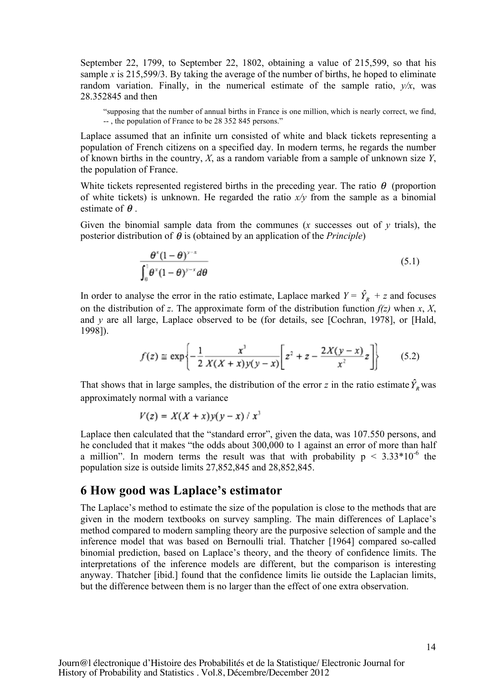September 22, 1799, to September 22, 1802, obtaining a value of 215,599, so that his sample *x* is 215,599/3. By taking the average of the number of births, he hoped to eliminate random variation. Finally, in the numerical estimate of the sample ratio,  $v/x$ , was 28.352845 and then

"supposing that the number of annual births in France is one million, which is nearly correct, we find, -- , the population of France to be 28 352 845 persons."

Laplace assumed that an infinite urn consisted of white and black tickets representing a population of French citizens on a specified day. In modern terms, he regards the number of known births in the country, *X*, as a random variable from a sample of unknown size *Y*, the population of France.

White tickets represented registered births in the preceding year. The ratio  $\theta$  (proportion of white tickets) is unknown. He regarded the ratio  $x/y$  from the sample as a binomial estimate of  $\theta$ .

Given the binomial sample data from the communes  $(x$  successes out of  $y$  trials), the posterior distribution of  $\theta$  is (obtained by an application of the *Principle*)

$$
\frac{\theta^x (1-\theta)^{y-x}}{\int_0^1 \theta^x (1-\theta)^{y-x} d\theta}
$$
\n(5.1)

In order to analyse the error in the ratio estimate, Laplace marked  $Y = \hat{Y}_R + z$  and focuses on the distribution of *z*. The approximate form of the distribution function  $f(z)$  when *x*, *X*, and *y* are all large, Laplace observed to be (for details, see [Cochran, 1978], or [Hald, 1998]).

$$
f(z) \equiv \exp\left\{-\frac{1}{2}\frac{x^3}{X(X+x)y(y-x)}\left[z^2 + z - \frac{2X(y-x)}{x^2}z\right]\right\}
$$
(5.2)

That shows that in large samples, the distribution of the error *z* in the ratio estimate  $\hat{Y}_p$  was approximately normal with a variance

$$
V(z) = X(X + x)y(y - x) / x3
$$

Laplace then calculated that the "standard error", given the data, was 107.550 persons, and he concluded that it makes "the odds about 300,000 to 1 against an error of more than half a million". In modern terms the result was that with probability  $p < 3.33*10^{-6}$  the population size is outside limits 27,852,845 and 28,852,845.

#### **6 How good was Laplace's estimator**

The Laplace's method to estimate the size of the population is close to the methods that are given in the modern textbooks on survey sampling. The main differences of Laplace's method compared to modern sampling theory are the purposive selection of sample and the inference model that was based on Bernoulli trial. Thatcher [1964] compared so-called binomial prediction, based on Laplace's theory, and the theory of confidence limits. The interpretations of the inference models are different, but the comparison is interesting anyway. Thatcher [ibid.] found that the confidence limits lie outside the Laplacian limits, but the difference between them is no larger than the effect of one extra observation.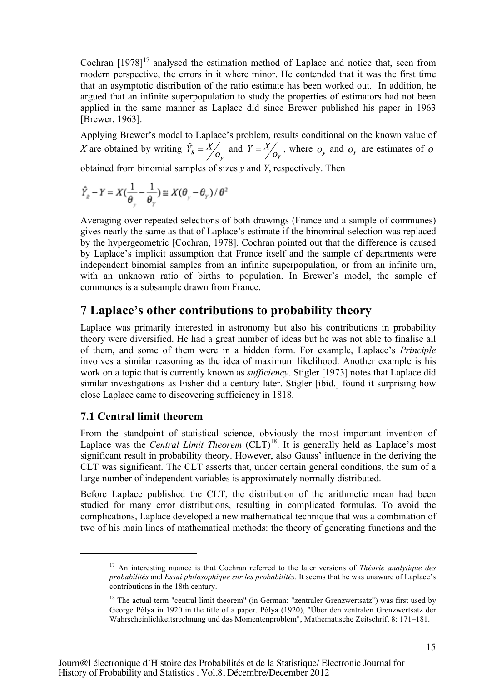Cochran  $[1978]$ <sup>17</sup> analysed the estimation method of Laplace and notice that, seen from modern perspective, the errors in it where minor. He contended that it was the first time that an asymptotic distribution of the ratio estimate has been worked out. In addition, he argued that an infinite superpopulation to study the properties of estimators had not been applied in the same manner as Laplace did since Brewer published his paper in 1963 [Brewer, 1963].

Applying Brewer's model to Laplace's problem, results conditional on the known value of X are obtained by writing  $\hat{Y}_R = \frac{X}{Q_v}$  and  $Y = \frac{X}{Q_v}$ , where  $o_y$  and  $o_y$  are estimates of o

obtained from binomial samples of sizes *y* and *Y*, respectively. Then

$$
\hat{Y}_R - Y = X(\frac{1}{\theta_y} - \frac{1}{\theta_y}) \equiv X(\theta_y - \theta_y) / \theta^2
$$

Averaging over repeated selections of both drawings (France and a sample of communes) gives nearly the same as that of Laplace's estimate if the binominal selection was replaced by the hypergeometric [Cochran, 1978]. Cochran pointed out that the difference is caused by Laplace's implicit assumption that France itself and the sample of departments were independent binomial samples from an infinite superpopulation, or from an infinite urn, with an unknown ratio of births to population. In Brewer's model, the sample of communes is a subsample drawn from France.

### **7 Laplace's other contributions to probability theory**

Laplace was primarily interested in astronomy but also his contributions in probability theory were diversified. He had a great number of ideas but he was not able to finalise all of them, and some of them were in a hidden form. For example, Laplace's *Principle* involves a similar reasoning as the idea of maximum likelihood. Another example is his work on a topic that is currently known as *sufficiency*. Stigler [1973] notes that Laplace did similar investigations as Fisher did a century later. Stigler [ibid.] found it surprising how close Laplace came to discovering sufficiency in 1818.

#### **7.1 Central limit theorem**

-

From the standpoint of statistical science, obviously the most important invention of Laplace was the *Central Limit Theorem* (CLT)<sup>18</sup>. It is generally held as Laplace's most significant result in probability theory. However, also Gauss' influence in the deriving the CLT was significant. The CLT asserts that, under certain general conditions, the sum of a large number of independent variables is approximately normally distributed.

Before Laplace published the CLT, the distribution of the arithmetic mean had been studied for many error distributions, resulting in complicated formulas. To avoid the complications, Laplace developed a new mathematical technique that was a combination of two of his main lines of mathematical methods: the theory of generating functions and the

<sup>17</sup> An interesting nuance is that Cochran referred to the later versions of *Théorie analytique des probabilités* and *Essai philosophique sur les probabilités.* It seems that he was unaware of Laplace's contributions in the 18th century.

<sup>&</sup>lt;sup>18</sup> The actual term "central limit theorem" (in German: "zentraler Grenzwertsatz") was first used by George Pólya in 1920 in the title of a paper. Pólya (1920), "Über den zentralen Grenzwertsatz der Wahrscheinlichkeitsrechnung und das Momentenproblem", Mathematische Zeitschrift 8: 171–181.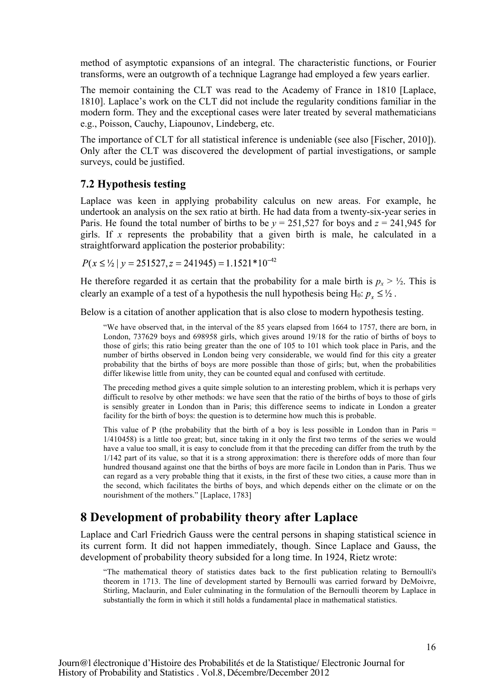method of asymptotic expansions of an integral. The characteristic functions, or Fourier transforms, were an outgrowth of a technique Lagrange had employed a few years earlier.

The memoir containing the CLT was read to the Academy of France in 1810 [Laplace, 1810]. Laplace's work on the CLT did not include the regularity conditions familiar in the modern form. They and the exceptional cases were later treated by several mathematicians e.g., Poisson, Cauchy, Liapounov, Lindeberg, etc.

The importance of CLT for all statistical inference is undeniable (see also [Fischer, 2010]). Only after the CLT was discovered the development of partial investigations, or sample surveys, could be justified.

#### **7.2 Hypothesis testing**

Laplace was keen in applying probability calculus on new areas. For example, he undertook an analysis on the sex ratio at birth. He had data from a twenty-six-year series in Paris. He found the total number of births to be  $y = 251,527$  for boys and  $z = 241,945$  for girls. If *x* represents the probability that a given birth is male, he calculated in a straightforward application the posterior probability:

 $P(x \le 1/2 | y = 251527, z = 241945) = 1.1521 * 10^{-42}$ 

He therefore regarded it as certain that the probability for a male birth is  $p_x > \frac{1}{2}$ . This is clearly an example of a test of a hypothesis the null hypothesis being H<sub>0</sub>:  $p_r \leq \frac{1}{2}$ .

Below is a citation of another application that is also close to modern hypothesis testing.

"We have observed that, in the interval of the 85 years elapsed from 1664 to 1757, there are born, in London, 737629 boys and 698958 girls, which gives around 19/18 for the ratio of births of boys to those of girls; this ratio being greater than the one of 105 to 101 which took place in Paris, and the number of births observed in London being very considerable, we would find for this city a greater probability that the births of boys are more possible than those of girls; but, when the probabilities differ likewise little from unity, they can be counted equal and confused with certitude.

The preceding method gives a quite simple solution to an interesting problem, which it is perhaps very difficult to resolve by other methods: we have seen that the ratio of the births of boys to those of girls is sensibly greater in London than in Paris; this difference seems to indicate in London a greater facility for the birth of boys: the question is to determine how much this is probable.

This value of P (the probability that the birth of a boy is less possible in London than in Paris  $=$  $1/410458$ ) is a little too great; but, since taking in it only the first two terms of the series we would have a value too small, it is easy to conclude from it that the preceding can differ from the truth by the 1/142 part of its value, so that it is a strong approximation: there is therefore odds of more than four hundred thousand against one that the births of boys are more facile in London than in Paris. Thus we can regard as a very probable thing that it exists, in the first of these two cities, a cause more than in the second, which facilitates the births of boys, and which depends either on the climate or on the nourishment of the mothers." [Laplace, 1783]

## **8 Development of probability theory after Laplace**

Laplace and Carl Friedrich Gauss were the central persons in shaping statistical science in its current form. It did not happen immediately, though. Since Laplace and Gauss, the development of probability theory subsided for a long time. In 1924, Rietz wrote:

"The mathematical theory of statistics dates back to the first publication relating to Bernoulli's theorem in 1713. The line of development started by Bernoulli was carried forward by DeMoivre, Stirling, Maclaurin, and Euler culminating in the formulation of the Bernoulli theorem by Laplace in substantially the form in which it still holds a fundamental place in mathematical statistics.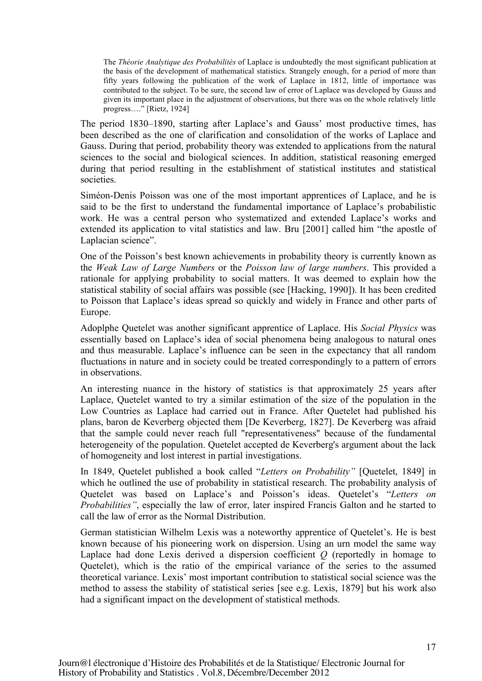The *Théorie Analytique des Probabilités* of Laplace is undoubtedly the most significant publication at the basis of the development of mathematical statistics. Strangely enough, for a period of more than fifty years following the publication of the work of Laplace in 1812, little of importance was contributed to the subject. To be sure, the second law of error of Laplace was developed by Gauss and given its important place in the adjustment of observations, but there was on the whole relatively little progress…." [Rietz, 1924]

The period 1830–1890, starting after Laplace's and Gauss' most productive times, has been described as the one of clarification and consolidation of the works of Laplace and Gauss. During that period, probability theory was extended to applications from the natural sciences to the social and biological sciences. In addition, statistical reasoning emerged during that period resulting in the establishment of statistical institutes and statistical societies.

Siméon-Denis Poisson was one of the most important apprentices of Laplace, and he is said to be the first to understand the fundamental importance of Laplace's probabilistic work. He was a central person who systematized and extended Laplace's works and extended its application to vital statistics and law. Bru [2001] called him "the apostle of Laplacian science".

One of the Poisson's best known achievements in probability theory is currently known as the *Weak Law of Large Numbers* or the *Poisson law of large numbers*. This provided a rationale for applying probability to social matters. It was deemed to explain how the statistical stability of social affairs was possible (see [Hacking, 1990]). It has been credited to Poisson that Laplace's ideas spread so quickly and widely in France and other parts of Europe.

Adoplphe Quetelet was another significant apprentice of Laplace. His *Social Physics* was essentially based on Laplace's idea of social phenomena being analogous to natural ones and thus measurable. Laplace's influence can be seen in the expectancy that all random fluctuations in nature and in society could be treated correspondingly to a pattern of errors in observations.

An interesting nuance in the history of statistics is that approximately 25 years after Laplace, Quetelet wanted to try a similar estimation of the size of the population in the Low Countries as Laplace had carried out in France. After Quetelet had published his plans, baron de Keverberg objected them [De Keverberg, 1827]. De Keverberg was afraid that the sample could never reach full "representativeness" because of the fundamental heterogeneity of the population. Quetelet accepted de Keverberg's argument about the lack of homogeneity and lost interest in partial investigations.

In 1849, Quetelet published a book called "*Letters on Probability"* [Quetelet, 1849] in which he outlined the use of probability in statistical research. The probability analysis of Quetelet was based on Laplace's and Poisson's ideas. Quetelet's "*Letters on Probabilities"*, especially the law of error, later inspired Francis Galton and he started to call the law of error as the Normal Distribution.

German statistician Wilhelm Lexis was a noteworthy apprentice of Quetelet's. He is best known because of his pioneering work on dispersion. Using an urn model the same way Laplace had done Lexis derived a dispersion coefficient *Q* (reportedly in homage to Quetelet), which is the ratio of the empirical variance of the series to the assumed theoretical variance. Lexis' most important contribution to statistical social science was the method to assess the stability of statistical series [see e.g. Lexis, 1879] but his work also had a significant impact on the development of statistical methods.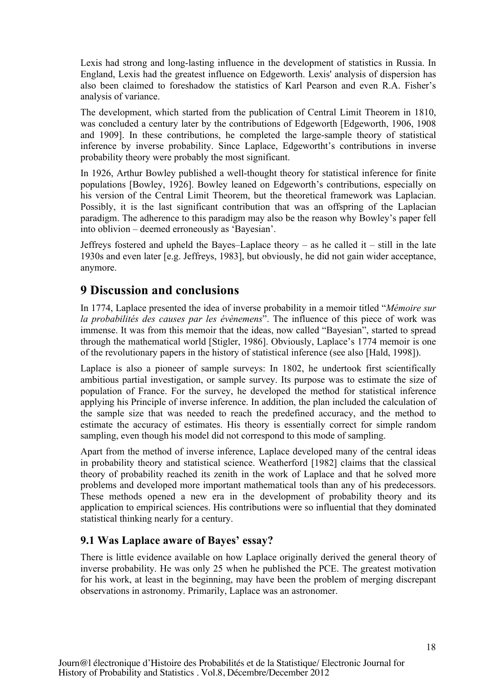Lexis had strong and long-lasting influence in the development of statistics in Russia. In England, Lexis had the greatest influence on Edgeworth. Lexis' analysis of dispersion has also been claimed to foreshadow the statistics of Karl Pearson and even R.A. Fisher's analysis of variance.

The development, which started from the publication of Central Limit Theorem in 1810, was concluded a century later by the contributions of Edgeworth [Edgeworth, 1906, 1908 and 1909]. In these contributions, he completed the large-sample theory of statistical inference by inverse probability. Since Laplace, Edgewortht's contributions in inverse probability theory were probably the most significant.

In 1926, Arthur Bowley published a well-thought theory for statistical inference for finite populations [Bowley, 1926]. Bowley leaned on Edgeworth's contributions, especially on his version of the Central Limit Theorem, but the theoretical framework was Laplacian. Possibly, it is the last significant contribution that was an offspring of the Laplacian paradigm. The adherence to this paradigm may also be the reason why Bowley's paper fell into oblivion – deemed erroneously as 'Bayesian'.

Jeffreys fostered and upheld the Bayes–Laplace theory – as he called it – still in the late 1930s and even later [e.g. Jeffreys, 1983], but obviously, he did not gain wider acceptance, anymore.

## **9 Discussion and conclusions**

In 1774, Laplace presented the idea of inverse probability in a memoir titled "*Mémoire sur la probabilités des causes par les évènemens*". The influence of this piece of work was immense. It was from this memoir that the ideas, now called "Bayesian", started to spread through the mathematical world [Stigler, 1986]. Obviously, Laplace's 1774 memoir is one of the revolutionary papers in the history of statistical inference (see also [Hald, 1998]).

Laplace is also a pioneer of sample surveys: In 1802, he undertook first scientifically ambitious partial investigation, or sample survey. Its purpose was to estimate the size of population of France. For the survey, he developed the method for statistical inference applying his Principle of inverse inference. In addition, the plan included the calculation of the sample size that was needed to reach the predefined accuracy, and the method to estimate the accuracy of estimates. His theory is essentially correct for simple random sampling, even though his model did not correspond to this mode of sampling.

Apart from the method of inverse inference, Laplace developed many of the central ideas in probability theory and statistical science. Weatherford [1982] claims that the classical theory of probability reached its zenith in the work of Laplace and that he solved more problems and developed more important mathematical tools than any of his predecessors. These methods opened a new era in the development of probability theory and its application to empirical sciences. His contributions were so influential that they dominated statistical thinking nearly for a century.

#### **9.1 Was Laplace aware of Bayes' essay?**

There is little evidence available on how Laplace originally derived the general theory of inverse probability. He was only 25 when he published the PCE. The greatest motivation for his work, at least in the beginning, may have been the problem of merging discrepant observations in astronomy. Primarily, Laplace was an astronomer.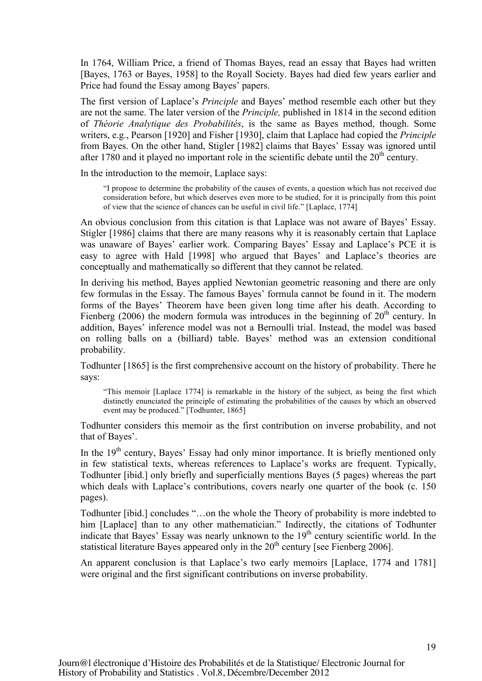In 1764, William Price, a friend of Thomas Bayes, read an essay that Bayes had written [Bayes, 1763 or Bayes, 1958] to the Royall Society. Bayes had died few years earlier and Price had found the Essay among Bayes' papers.

The first version of Laplace's *Principle* and Bayes' method resemble each other but they are not the same. The later version of the *Principle,* published in 1814 in the second edition of *Théorie Analytique des Probabilités*, is the same as Bayes method, though. Some writers, e.g., Pearson [1920] and Fisher [1930], claim that Laplace had copied the *Principle* from Bayes. On the other hand, Stigler [1982] claims that Bayes' Essay was ignored until after 1780 and it played no important role in the scientific debate until the  $20<sup>th</sup>$  century.

In the introduction to the memoir, Laplace says:

"I propose to determine the probability of the causes of events, a question which has not received due consideration before, but which deserves even more to be studied, for it is principally from this point of view that the science of chances can be useful in civil life." [Laplace, 1774]

An obvious conclusion from this citation is that Laplace was not aware of Bayes' Essay. Stigler [1986] claims that there are many reasons why it is reasonably certain that Laplace was unaware of Bayes' earlier work. Comparing Bayes' Essay and Laplace's PCE it is easy to agree with Hald [1998] who argued that Bayes' and Laplace's theories are conceptually and mathematically so different that they cannot be related.

In deriving his method, Bayes applied Newtonian geometric reasoning and there are only few formulas in the Essay. The famous Bayes' formula cannot be found in it. The modern forms of the Bayes' Theorem have been given long time after his death. According to Fienberg (2006) the modern formula was introduces in the beginning of  $20<sup>th</sup>$  century. In addition, Bayes' inference model was not a Bernoulli trial. Instead, the model was based on rolling balls on a (billiard) table. Bayes' method was an extension conditional probability.

Todhunter [1865] is the first comprehensive account on the history of probability. There he says:

"This memoir [Laplace 1774] is remarkable in the history of the subject, as being the first which distinctly enunciated the principle of estimating the probabilities of the causes by which an observed event may be produced." [Todhunter, 1865]

Todhunter considers this memoir as the first contribution on inverse probability, and not that of Bayes'.

In the  $19<sup>th</sup>$  century, Bayes' Essay had only minor importance. It is briefly mentioned only in few statistical texts, whereas references to Laplace's works are frequent. Typically, Todhunter [ibid.] only briefly and superficially mentions Bayes (5 pages) whereas the part which deals with Laplace's contributions, covers nearly one quarter of the book (c. 150 pages).

Todhunter [ibid.] concludes "…on the whole the Theory of probability is more indebted to him [Laplace] than to any other mathematician." Indirectly, the citations of Todhunter indicate that Bayes' Essay was nearly unknown to the 19<sup>th</sup> century scientific world. In the statistical literature Bayes appeared only in the  $20<sup>th</sup>$  century [see Fienberg 2006].

An apparent conclusion is that Laplace's two early memoirs [Laplace, 1774 and 1781] were original and the first significant contributions on inverse probability.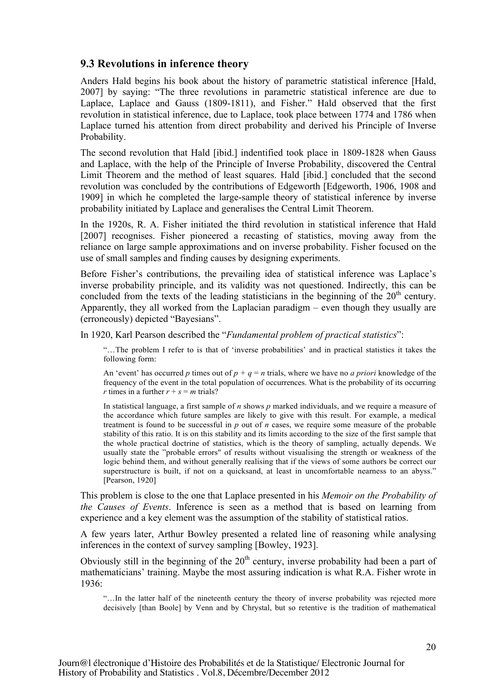#### **9.3 Revolutions in inference theory**

Anders Hald begins his book about the history of parametric statistical inference [Hald, 2007] by saying: "The three revolutions in parametric statistical inference are due to Laplace, Laplace and Gauss (1809-1811), and Fisher." Hald observed that the first revolution in statistical inference, due to Laplace, took place between 1774 and 1786 when Laplace turned his attention from direct probability and derived his Principle of Inverse Probability.

The second revolution that Hald [ibid.] indentified took place in 1809-1828 when Gauss and Laplace, with the help of the Principle of Inverse Probability, discovered the Central Limit Theorem and the method of least squares. Hald [ibid.] concluded that the second revolution was concluded by the contributions of Edgeworth [Edgeworth, 1906, 1908 and 1909] in which he completed the large-sample theory of statistical inference by inverse probability initiated by Laplace and generalises the Central Limit Theorem.

In the 1920s, R. A. Fisher initiated the third revolution in statistical inference that Hald [2007] recognises. Fisher pioneered a recasting of statistics, moving away from the reliance on large sample approximations and on inverse probability. Fisher focused on the use of small samples and finding causes by designing experiments.

Before Fisher's contributions, the prevailing idea of statistical inference was Laplace's inverse probability principle, and its validity was not questioned. Indirectly, this can be concluded from the texts of the leading statisticians in the beginning of the  $20<sup>th</sup>$  century. Apparently, they all worked from the Laplacian paradigm – even though they usually are (erroneously) depicted "Bayesians".

In 1920, Karl Pearson described the "*Fundamental problem of practical statistics*":

"…The problem I refer to is that of 'inverse probabilities' and in practical statistics it takes the following form:

An 'event' has occurred *p* times out of  $p + q = n$  trials, where we have no *a priori* knowledge of the frequency of the event in the total population of occurrences. What is the probability of its occurring *r* times in a further  $r + s = m$  trials?

In statistical language, a first sample of *n* shows *p* marked individuals, and we require a measure of the accordance which future samples are likely to give with this result. For example, a medical treatment is found to be successful in *p* out of *n* cases, we require some measure of the probable stability of this ratio. It is on this stability and its limits according to the size of the first sample that the whole practical doctrine of statistics, which is the theory of sampling, actually depends. We usually state the "probable errors" of results without visualising the strength or weakness of the logic behind them, and without generally realising that if the views of some authors be correct our superstructure is built, if not on a quicksand, at least in uncomfortable nearness to an abyss." [Pearson, 1920]

This problem is close to the one that Laplace presented in his *Memoir on the Probability of the Causes of Events*. Inference is seen as a method that is based on learning from experience and a key element was the assumption of the stability of statistical ratios.

A few years later, Arthur Bowley presented a related line of reasoning while analysing inferences in the context of survey sampling [Bowley, 1923].

Obviously still in the beginning of the  $20<sup>th</sup>$  century, inverse probability had been a part of mathematicians' training. Maybe the most assuring indication is what R.A. Fisher wrote in 1936:

"…In the latter half of the nineteenth century the theory of inverse probability was rejected more decisively [than Boole] by Venn and by Chrystal, but so retentive is the tradition of mathematical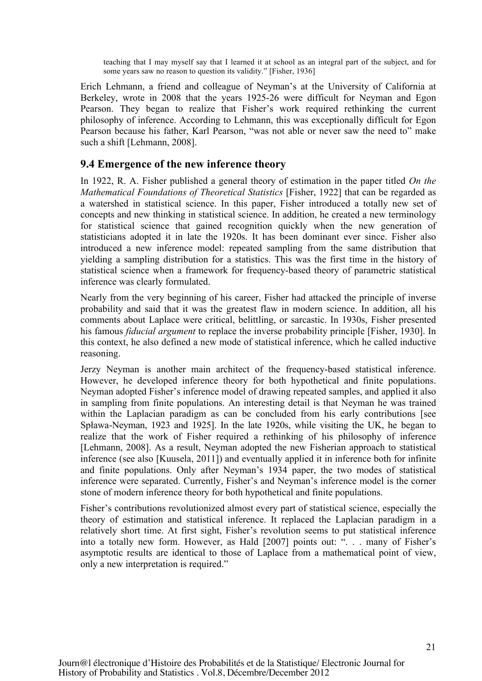teaching that I may myself say that I learned it at school as an integral part of the subject, and for some years saw no reason to question its validity." [Fisher, 1936]

Erich Lehmann, a friend and colleague of Neyman's at the University of California at Berkeley, wrote in 2008 that the years 1925-26 were difficult for Neyman and Egon Pearson. They began to realize that Fisher's work required rethinking the current philosophy of inference. According to Lehmann, this was exceptionally difficult for Egon Pearson because his father, Karl Pearson, "was not able or never saw the need to" make such a shift [Lehmann, 2008].

#### **9.4 Emergence of the new inference theory**

In 1922, R. A. Fisher published a general theory of estimation in the paper titled *On the Mathematical Foundations of Theoretical Statistics* [Fisher, 1922] that can be regarded as a watershed in statistical science. In this paper, Fisher introduced a totally new set of concepts and new thinking in statistical science. In addition, he created a new terminology for statistical science that gained recognition quickly when the new generation of statisticians adopted it in late the 1920s. It has been dominant ever since. Fisher also introduced a new inference model: repeated sampling from the same distribution that yielding a sampling distribution for a statistics. This was the first time in the history of statistical science when a framework for frequency-based theory of parametric statistical inference was clearly formulated.

Nearly from the very beginning of his career, Fisher had attacked the principle of inverse probability and said that it was the greatest flaw in modern science. In addition, all his comments about Laplace were critical, belittling, or sarcastic. In 1930s, Fisher presented his famous *fiducial argument* to replace the inverse probability principle [Fisher, 1930]. In this context, he also defined a new mode of statistical inference, which he called inductive reasoning.

Jerzy Neyman is another main architect of the frequency-based statistical inference. However, he developed inference theory for both hypothetical and finite populations. Neyman adopted Fisher's inference model of drawing repeated samples, and applied it also in sampling from finite populations. An interesting detail is that Neyman he was trained within the Laplacian paradigm as can be concluded from his early contributions [see Spława-Neyman, 1923 and 1925]. In the late 1920s, while visiting the UK, he began to realize that the work of Fisher required a rethinking of his philosophy of inference [Lehmann, 2008]. As a result, Neyman adopted the new Fisherian approach to statistical inference (see also [Kuusela, 2011]) and eventually applied it in inference both for infinite and finite populations. Only after Neyman's 1934 paper, the two modes of statistical inference were separated. Currently, Fisher's and Neyman's inference model is the corner stone of modern inference theory for both hypothetical and finite populations.

Fisher's contributions revolutionized almost every part of statistical science, especially the theory of estimation and statistical inference. It replaced the Laplacian paradigm in a relatively short time. At first sight, Fisher's revolution seems to put statistical inference into a totally new form. However, as Hald [2007] points out: ". . . many of Fisher's asymptotic results are identical to those of Laplace from a mathematical point of view, only a new interpretation is required."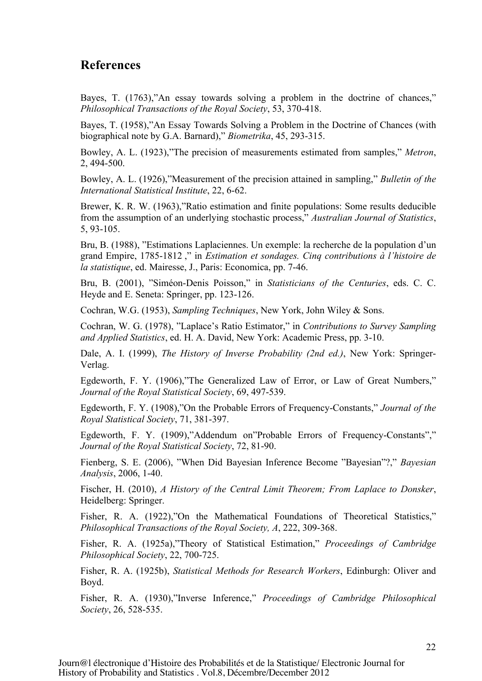## **References**

Bayes, T. (1763), "An essay towards solving a problem in the doctrine of chances," *Philosophical Transactions of the Royal Society*, 53, 370-418.

Bayes, T. (1958),"An Essay Towards Solving a Problem in the Doctrine of Chances (with biographical note by G.A. Barnard)," *Biometrika*, 45, 293-315.

Bowley, A. L. (1923),"The precision of measurements estimated from samples," *Metron*, 2, 494-500.

Bowley, A. L. (1926),"Measurement of the precision attained in sampling," *Bulletin of the International Statistical Institute*, 22, 6-62.

Brewer, K. R. W. (1963),"Ratio estimation and finite populations: Some results deducible from the assumption of an underlying stochastic process," *Australian Journal of Statistics*, 5, 93-105.

Bru, B. (1988), "Estimations Laplaciennes. Un exemple: la recherche de la population d'un grand Empire, 1785-1812 ," in *Estimation et sondages. Cinq contributions à l'histoire de la statistique*, ed. Mairesse, J., Paris: Economica, pp. 7-46.

Bru, B. (2001), "Siméon-Denis Poisson," in *Statisticians of the Centuries*, eds. C. C. Heyde and E. Seneta: Springer, pp. 123-126.

Cochran, W.G. (1953), *Sampling Techniques*, New York, John Wiley & Sons.

Cochran, W. G. (1978), "Laplace's Ratio Estimator," in *Contributions to Survey Sampling and Applied Statistics*, ed. H. A. David, New York: Academic Press, pp. 3-10.

Dale, A. I. (1999), *The History of Inverse Probability (2nd ed.)*, New York: Springer-Verlag.

Egdeworth, F. Y. (1906),"The Generalized Law of Error, or Law of Great Numbers," *Journal of the Royal Statistical Society*, 69, 497-539.

Egdeworth, F. Y. (1908),"On the Probable Errors of Frequency-Constants," *Journal of the Royal Statistical Society*, 71, 381-397.

Egdeworth, F. Y. (1909),"Addendum on"Probable Errors of Frequency-Constants"," *Journal of the Royal Statistical Society*, 72, 81-90.

Fienberg, S. E. (2006), "When Did Bayesian Inference Become "Bayesian"?," *Bayesian Analysis*, 2006, 1-40.

Fischer, H. (2010), *A History of the Central Limit Theorem; From Laplace to Donsker*, Heidelberg: Springer.

Fisher, R. A. (1922),"On the Mathematical Foundations of Theoretical Statistics," *Philosophical Transactions of the Royal Society, A*, 222, 309-368.

Fisher, R. A. (1925a),"Theory of Statistical Estimation," *Proceedings of Cambridge Philosophical Society*, 22, 700-725.

Fisher, R. A. (1925b), *Statistical Methods for Research Workers*, Edinburgh: Oliver and Boyd.

Fisher, R. A. (1930),"Inverse Inference," *Proceedings of Cambridge Philosophical Society*, 26, 528-535.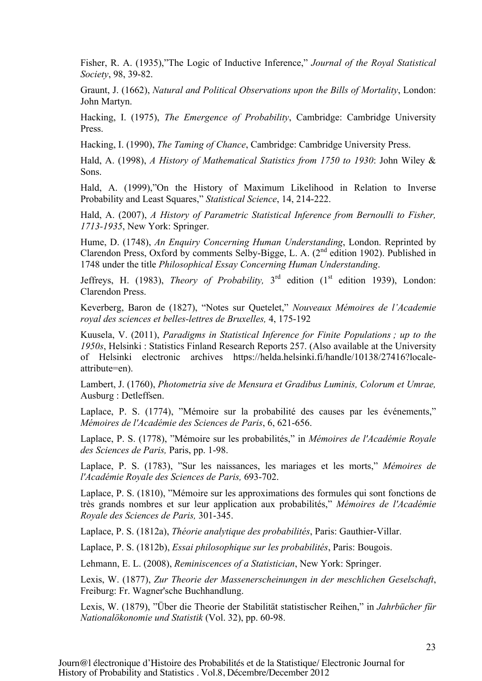Fisher, R. A. (1935),"The Logic of Inductive Inference," *Journal of the Royal Statistical Society*, 98, 39-82.

Graunt, J. (1662), *Natural and Political Observations upon the Bills of Mortality*, London: John Martyn.

Hacking, I. (1975), *The Emergence of Probability*, Cambridge: Cambridge University Press.

Hacking, I. (1990), *The Taming of Chance*, Cambridge: Cambridge University Press.

Hald, A. (1998), *A History of Mathematical Statistics from 1750 to 1930*: John Wiley & Sons.

Hald, A. (1999),"On the History of Maximum Likelihood in Relation to Inverse Probability and Least Squares," *Statistical Science*, 14, 214-222.

Hald, A. (2007), *A History of Parametric Statistical Inference from Bernoulli to Fisher, 1713-1935*, New York: Springer.

Hume, D. (1748), *An Enquiry Concerning Human Understanding*, London. Reprinted by Clarendon Press, Oxford by comments Selby-Bigge, L. A. (2nd edition 1902). Published in 1748 under the title *Philosophical Essay Concerning Human Understanding*.

Jeffreys, H. (1983), *Theory of Probability,* 3rd edition (1st edition 1939), London: Clarendon Press.

Keverberg, Baron de (1827), "Notes sur Quetelet," *Nouveaux Mémoires de l'Academie royal des sciences et belles-lettres de Bruxelles,* 4, 175-192

Kuusela, V. (2011), *Paradigms in Statistical Inference for Finite Populations ; up to the 1950s*, Helsinki : Statistics Finland Research Reports 257. (Also available at the University of Helsinki electronic archives https://helda.helsinki.fi/handle/10138/27416?localeattribute=en).

Lambert, J. (1760), *Photometria sive de Mensura et Gradibus Luminis, Colorum et Umrae,* Ausburg : Detleffsen.

Laplace, P. S. (1774), "Mémoire sur la probabilité des causes par les événements," *Mémoires de l'Académie des Sciences de Paris*, 6, 621-656.

Laplace, P. S. (1778), "Mémoire sur les probabilités," in *Mémoires de l'Académie Royale des Sciences de Paris,* Paris, pp. 1-98.

Laplace, P. S. (1783), "Sur les naissances, les mariages et les morts," *Mémoires de l'Académie Royale des Sciences de Paris,* 693-702.

Laplace, P. S. (1810), "Mémoire sur les approximations des formules qui sont fonctions de très grands nombres et sur leur application aux probabilités," *Mémoires de l'Académie Royale des Sciences de Paris,* 301-345.

Laplace, P. S. (1812a), *Théorie analytique des probabilités*, Paris: Gauthier-Villar.

Laplace, P. S. (1812b), *Essai philosophique sur les probabilités*, Paris: Bougois.

Lehmann, E. L. (2008), *Reminiscences of a Statistician*, New York: Springer.

Lexis, W. (1877), *Zur Theorie der Massenerscheinungen in der meschlichen Geselschaft*, Freiburg: Fr. Wagner'sche Buchhandlung.

Lexis, W. (1879), "Über die Theorie der Stabilität statistischer Reihen," in *Jahrbücher für Nationalökonomie und Statistik* (Vol. 32), pp. 60-98.